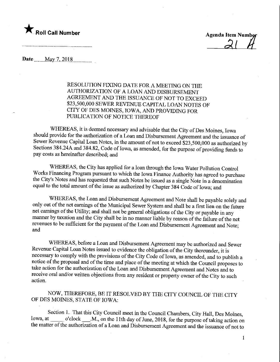

 $\mathcal{Z}^{\prime}$ 

Date <u>May 7, 2018</u>

RESOLUTION FIXING DATE FOR A MEETING ON THE AUTHORIZATION OF A LOAN AND DISBURSEMENT AGREEMENT AND THE ISSUANCE OF NOT TO EXCEED \$23,500,000 SEWER REVENUE CAPITAL LOAN NOTES OF CITY OF DES MOINES, IOWA, AND PROVIDING FOR PUBLICATION OF NOTICE THEREOF

WHEREAS, it is deemed necessary and advisable that the City of Des Moines, Iowa should provide for the authorization of a Loan and Disbursement Agreement and the issuance of Sewer Revenue Capital Loan Notes, in the amount of not to exceed \$23,500,000 as authorized by Sections 384.24A and 384.82, Code of Iowa, as amended, for the purpose of providing funds to pay costs as hereinafter described; and

WHEREAS, the City has applied for a loan through the Iowa Water Pollution Control Works Financing Program pursuant to which the Iowa Finance Authority has agreed to purchase the City's Notes and has requested that such Notes be issued as a single Note in a denomination equal to the total amount of the issue as authorized by Chapter 384 Code of Iowa; and

WHEREAS, the Loan and Disbursement Agreement and Note shall be payable solely and only out of the net earnings of the Municipal Sewer System and shall be a first lien on the future net earnings of the Utility; and shall not be general obligations of the City or payable in any manner by taxation and the City shall be in no manner liable by reason of the failure of the net revenues to be sufficient for the payment of the Loan and Disbursement Agreement and Note; and

WHEREAS, before a Loan and Disbursement Agreement may be authorized and Sewer Revenue Capital Loan Notes issued to evidence the obligation of the City thereunder, it is necessary to comply with the provisions of the City Code of Iowa, as amended, and to publish a notice of the proposal and of the time and place of the meeting at which the Council proposes to take action for the authorization of the Loan and Disbursement Agreement and Notes and to receive oral and/or written objections from any resident or property owner of the City to such action.

NOW, THEREFORE, BE IT RESOLVED BY THE CITY COUNCIL OF THE CITY OF DES MOINES, STATE OF IOWA:

Section 1. That this City Council meet in the Council Chambers, City Hall, Des Moines,<br>Iowa, at o'clock M., on the 11th day of June 2018 for the purpose of taking action or  $M$ ., on the 11th day of June, 2018, for the purpose of taking action on the matter of the authorization of a Loan and Disbursement Agreement and the issuance of not to

 $\mathbf{1}$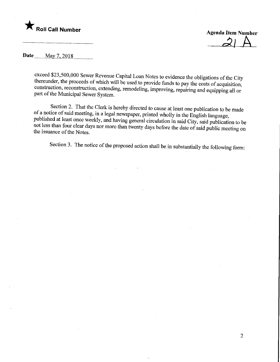

 $\mathcal{Z} \downarrow \mathcal{A}$ 

 $\overline{2}$ 

Date........May 7,201.8

exceed \$23,500,000 Sewer Revenue Capital Loan Notes to evidence the obligations of the City thereunder, the proceeds of which will be used to provide funds to pay the costs of acquisition,  $t_{\text{in}}$  there is the provide funds to pay the costs of acquisition, part of the Municipal Source Stretuction, remodering, improving, repairing and equipping all or part of the Municipal Sewer System.

Section 2. That the Clerk is hereby directed to cause at least one publication to be made of a notice of said meeting, in a legal newspaper, printed wholly in the English language, published at least once weekly, and having general circulation in said City, said publication to be published at least once weekly, and having general circulation in said City, said publication to be he issuance of the Notes. the issuance of the Notes.

Section 3. The notice of the proposed action shall be in substantially the following form: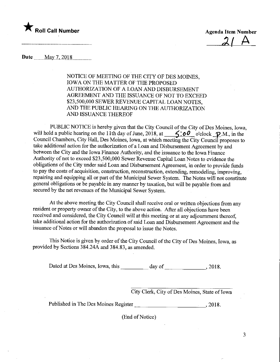

 $2/ A$ 

Date May 7, 2018

NOTICE OF MEETING OF THE CITY OF DES MOINES, IOWA ON THE MATTER OF THE PROPOSED AUTHORIZATION OF A LOAN AND DISBURSEMENT AGREEMENT AND THE ISSUANCE OF NOT TO EXCEED \$23,500,000 SEWER REVENUE CAPITAL LOAN NOTES, AND THE PUBLIC HEARING ON THE AUTHORIZATION AND ISSUANCE THEREOF

PUBLIC NOTICE is hereby given that the City Council of the City of Des Moines, Iowa, will hold a public hearing on the 11th day of June, 2018, at  $\frac{\leq}{\leq}$  o'clock  $\mathcal{P}$ .M., in the Council Chambers, City Hall, Des Moines, Iowa, at which meeting the City Council proposes to take additional action for the authorization of a Loan and Disbursement Agreement by and between the City and the Iowa Finance Authority, and the issuance to the Iowa Finance Authority of not to exceed \$23,500,000 Sewer Revenue Capital Loan Notes to evidence the obligations of the City under said Loan and Disbursement Agreement, in order to provide funds to pay the costs of acquisition, construction, reconstruction, extending, remodeling, improving, repairing and equipping all or part of the Municipal Sewer System. The Notes will not constitute general obligations or be payable in any manner by taxation, but will be payable from and secured by the net revenues of the Municipal Sewer System.

At the above meeting the City Council shall receive oral or written objections from any resident or property owner of the City, to the above action. After all objections have been received and considered, the City Council will at this meeting or at any adjournment thereof, take additional action for the authorization of said Loan and Disbursement Agreement and the issuance of Notes or will abandon the proposal to issue the Notes.

This Notice is given by order of the City Council of the City of Des Moines, Iowa, as provided by Sections 384.24A and 384.83, as amended.

Dated at Des Moines, Iowa, this \_ day of\_,2018.

City Clerk, City of Des Moines, State of Iowa

Published in The Des Moines Register \_, 2018.

(End of Notice)